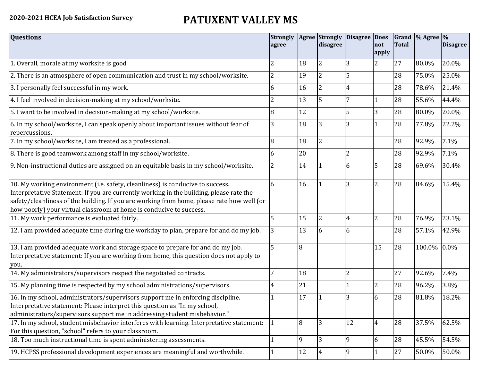## **2020-2021 HCEA Job Satisfaction Survey PATUXENT VALLEY MS**

| <b>Questions</b>                                                                                                                                                                                                                                                                                                                               | <b>Strongly</b><br>agree |                | <b>Agree Strongly</b><br>disagree | Disagree Does  | not<br>apply   | <b>Total</b> | Grand $\%$ Agree $\%$ | <b>Disagree</b> |
|------------------------------------------------------------------------------------------------------------------------------------------------------------------------------------------------------------------------------------------------------------------------------------------------------------------------------------------------|--------------------------|----------------|-----------------------------------|----------------|----------------|--------------|-----------------------|-----------------|
| 1. Overall, morale at my worksite is good                                                                                                                                                                                                                                                                                                      | 2                        | 18             | 2                                 |                | 2              | 27           | 80.0%                 | 20.0%           |
| 2. There is an atmosphere of open communication and trust in my school/worksite.                                                                                                                                                                                                                                                               | 2                        | 19             | $\overline{2}$                    | 5              |                | 28           | 75.0%                 | 25.0%           |
| 3. I personally feel successful in my work.                                                                                                                                                                                                                                                                                                    | 6                        | 16             | 2                                 |                |                | 28           | 78.6%                 | 21.4%           |
| 4. I feel involved in decision-making at my school/worksite.                                                                                                                                                                                                                                                                                   | 2                        | 13             | 5                                 | 7              |                | 28           | 55.6%                 | 44.4%           |
| 5. I want to be involved in decision-making at my school/worksite.                                                                                                                                                                                                                                                                             | 8                        | 12             |                                   | 5              | 3              | 28           | 80.0%                 | 20.0%           |
| 6. In my school/worksite, I can speak openly about important issues without fear of<br>repercussions.                                                                                                                                                                                                                                          | 3                        | 18             | 3                                 |                |                | 28           | 77.8%                 | 22.2%           |
| 7. In my school/worksite, I am treated as a professional.                                                                                                                                                                                                                                                                                      | 8                        | 18             | $\overline{2}$                    |                |                | 28           | 92.9%                 | 7.1%            |
| 8. There is good teamwork among staff in my school/worksite.                                                                                                                                                                                                                                                                                   | 6                        | 20             |                                   | $\overline{2}$ |                | 28           | 92.9%                 | 7.1%            |
| 9. Non-instructional duties are assigned on an equitable basis in my school/worksite.                                                                                                                                                                                                                                                          | 2                        | 14             |                                   | 6              | 5              | 28           | 69.6%                 | 30.4%           |
| 10. My working environment (i.e. safety, cleanliness) is conducive to success.<br>Interpretative Statement: If you are currently working in the building, please rate the<br>safety/cleanliness of the building. If you are working from home, please rate how well (or<br>how poorly) your virtual classroom at home is conducive to success. | 6                        | 16             |                                   | 3              | $\overline{2}$ | 28           | 84.6%                 | 15.4%           |
| 11. My work performance is evaluated fairly.                                                                                                                                                                                                                                                                                                   | 5                        | 15             | 2                                 | 4              | $\overline{2}$ | 28           | 76.9%                 | 23.1%           |
| 12. I am provided adequate time during the workday to plan, prepare for and do my job.                                                                                                                                                                                                                                                         | 3                        | 13             | 6                                 | 6              |                | 28           | 57.1%                 | 42.9%           |
| 13. I am provided adequate work and storage space to prepare for and do my job.<br>Interpretative statement: If you are working from home, this question does not apply to<br>you.                                                                                                                                                             | 5                        | $\overline{8}$ |                                   |                | 15             | 28           | 100.0% 0.0%           |                 |
| 14. My administrators/supervisors respect the negotiated contracts.                                                                                                                                                                                                                                                                            |                          | 18             |                                   | $\overline{2}$ |                | 27           | 92.6%                 | 7.4%            |
| 15. My planning time is respected by my school administrations/supervisors.                                                                                                                                                                                                                                                                    | 4                        | 21             |                                   |                | $\overline{2}$ | 28           | 96.2%                 | 3.8%            |
| 16. In my school, administrators/supervisors support me in enforcing discipline.<br>Interpretative statement: Please interpret this question as "In my school,<br>administrators/supervisors support me in addressing student misbehavior."                                                                                                    |                          | 17             |                                   |                | 6              | 28           | 81.8%                 | 18.2%           |
| 17. In my school, student misbehavior interferes with learning. Interpretative statement:<br>For this question, "school" refers to your classroom.                                                                                                                                                                                             |                          | l8             | 3                                 | 12             | $\overline{4}$ | 28           | 37.5%                 | 62.5%           |
| 18. Too much instructional time is spent administering assessments.                                                                                                                                                                                                                                                                            |                          | 9              | 3                                 | 9              | 6              | 28           | 45.5%                 | 54.5%           |
| 19. HCPSS professional development experiences are meaningful and worthwhile.                                                                                                                                                                                                                                                                  |                          | 12             | 4                                 | $\overline{9}$ | 1              | 27           | 50.0%                 | 50.0%           |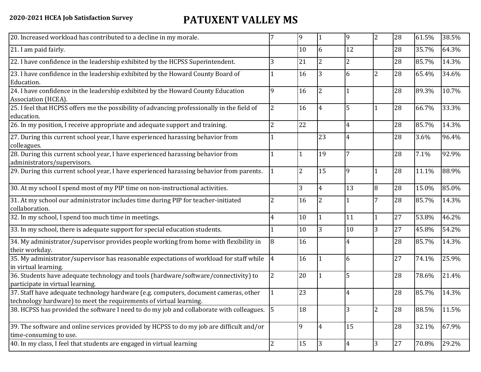## **2020-2021 HCEA Job Satisfaction Survey PATUXENT VALLEY MS**

| 20. Increased workload has contributed to a decline in my morale.                                                                                          |                | 9              |                | 9              | $\overline{2}$ | 28 | 61.5% | 38.5% |
|------------------------------------------------------------------------------------------------------------------------------------------------------------|----------------|----------------|----------------|----------------|----------------|----|-------|-------|
| 21. I am paid fairly.                                                                                                                                      |                | 10             | 6              | 12             |                | 28 | 35.7% | 64.3% |
| 22. I have confidence in the leadership exhibited by the HCPSS Superintendent.                                                                             | 3              | 21             | $\overline{2}$ | $\overline{2}$ |                | 28 | 85.7% | 14.3% |
| 23. I have confidence in the leadership exhibited by the Howard County Board of<br>Education.                                                              |                | 16             | 3              | 6              | $\overline{2}$ | 28 | 65.4% | 34.6% |
| 24. I have confidence in the leadership exhibited by the Howard County Education<br>Association (HCEA).                                                    | 9              | 16             | 2              |                |                | 28 | 89.3% | 10.7% |
| 25. I feel that HCPSS offers me the possibility of advancing professionally in the field of<br>education.                                                  | 2              | 16             |                | 5              | $\overline{1}$ | 28 | 66.7% | 33.3% |
| 26. In my position, I receive appropriate and adequate support and training.                                                                               | 2              | 22             |                | $\overline{4}$ |                | 28 | 85.7% | 14.3% |
| 27. During this current school year, I have experienced harassing behavior from<br>colleagues.                                                             |                |                | 23             | 4              |                | 28 | 3.6%  | 96.4% |
| 28. During this current school year, I have experienced harassing behavior from<br>administrators/supervisors.                                             |                | 1              | 19             |                |                | 28 | 7.1%  | 92.9% |
| 29. During this current school year, I have experienced harassing behavior from parents.                                                                   |                | $\overline{2}$ | 15             | 9              | $\overline{1}$ | 28 | 11.1% | 88.9% |
| 30. At my school I spend most of my PIP time on non-instructional activities.                                                                              |                | 3              | 4              | 13             | 8              | 28 | 15.0% | 85.0% |
| 31. At my school our administrator includes time during PIP for teacher-initiated<br>collaboration.                                                        | $\overline{2}$ | 16             | 2              |                | 7              | 28 | 85.7% | 14.3% |
| 32. In my school, I spend too much time in meetings.                                                                                                       | 4              | 10             |                | 11             | $\overline{1}$ | 27 | 53.8% | 46.2% |
| 33. In my school, there is adequate support for special education students.                                                                                |                | 10             | 3              | 10             | 3              | 27 | 45.8% | 54.2% |
| 34. My administrator/supervisor provides people working from home with flexibility in<br>their workday.                                                    | 8              | 16             |                | 4              |                | 28 | 85.7% | 14.3% |
| 35. My administrator/supervisor has reasonable expectations of workload for staff while<br>in virtual learning.                                            | $\overline{4}$ | 16             |                | 6              |                | 27 | 74.1% | 25.9% |
| 36. Students have adequate technology and tools (hardware/software/connectivity) to<br>participate in virtual learning.                                    | $\overline{2}$ | 20             |                | 5              |                | 28 | 78.6% | 21.4% |
| 37. Staff have adequate technology hardware (e.g. computers, document cameras, other<br>technology hardware) to meet the requirements of virtual learning. |                | 23             |                | 4              |                | 28 | 85.7% | 14.3% |
| 38. HCPSS has provided the software I need to do my job and collaborate with colleagues. 5                                                                 |                | 18             |                | 3              | $\overline{2}$ | 28 | 88.5% | 11.5% |
| 39. The software and online services provided by HCPSS to do my job are difficult and/or<br>time-consuming to use.                                         |                | 9              | 4              | 15             |                | 28 | 32.1% | 67.9% |
| 40. In my class, I feel that students are engaged in virtual learning                                                                                      | 2              | 15             | 3              | $\overline{4}$ | 3              | 27 | 70.8% | 29.2% |
|                                                                                                                                                            |                |                |                |                |                |    |       |       |